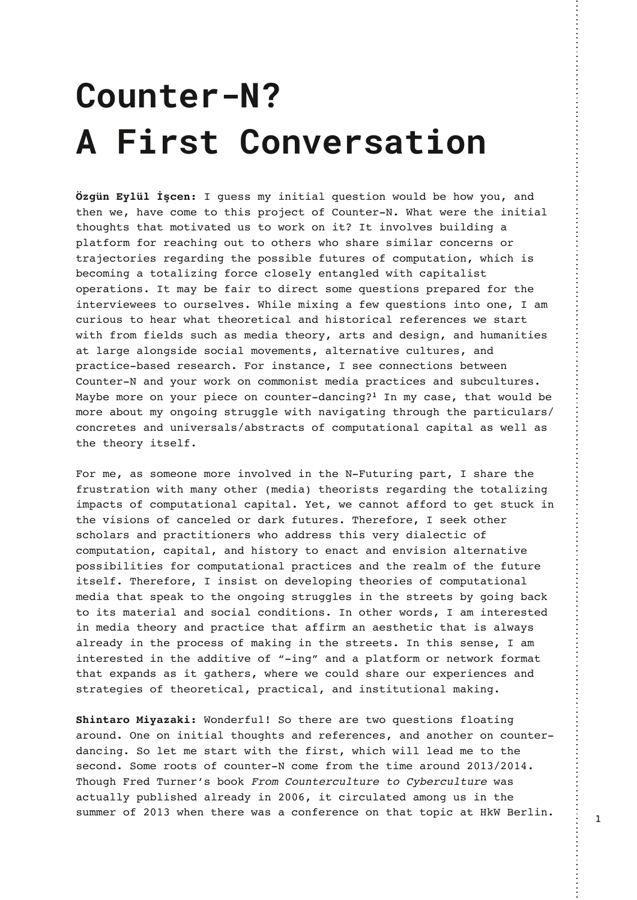## **Counter-N? A First Conversation**

**Özgün Eylül İşcen:** I guess my initial question would be how you, and then we, have come to this project of Counter-N. What were the initial thoughts that motivated us to work on it? It involves building a platform for reaching out to others who share similar concerns or trajectories regarding the possible futures of computation, which is becoming a totalizing force closely entangled with capitalist operations. It may be fair to direct some questions prepared for the interviewees to ourselves. While mixing a few questions into one, I am curious to hear what theoretical and historical references we start with from fields such as media theory, arts and design, and humanities at large alongside social movements, alternative cultures, and practice-based research. For instance, I see connections between Counter-N and your work on commonist media practices and subcultures. Maybe more on your piece on counter-dancing?**<sup>1</sup>** In my case, that would be more about my ongoing struggle with navigating through the particulars/ concretes and universals/abstracts of computational capital as well as the theory itself.

For me, as someone more involved in the N-Futuring part, I share the frustration with many other (media) theorists regarding the totalizing impacts of computational capital. Yet, we cannot afford to get stuck in the visions of canceled or dark futures. Therefore, I seek other scholars and practitioners who address this very dialectic of computation, capital, and history to enact and envision alternative possibilities for computational practices and the realm of the future itself. Therefore, I insist on developing theories of computational media that speak to the ongoing struggles in the streets by going back to its material and social conditions. In other words, I am interested in media theory and practice that affirm an aesthetic that is always already in the process of making in the streets. In this sense, I am interested in the additive of "-ing" and a platform or network format that expands as it gathers, where we could share our experiences and strategies of theoretical, practical, and institutional making.

**Shintaro Miyazaki:** Wonderful! So there are two questions floating around. One on initial thoughts and references, and another on counterdancing. So let me start with the first, which will lead me to the second. Some roots of counter-N come from the time around 2013/2014. Though Fred Turner's book From Counterculture to Cyberculture was actually published already in 2006, it circulated among us in the summer of 2013 when there was a conference on that topic at HkW Berlin.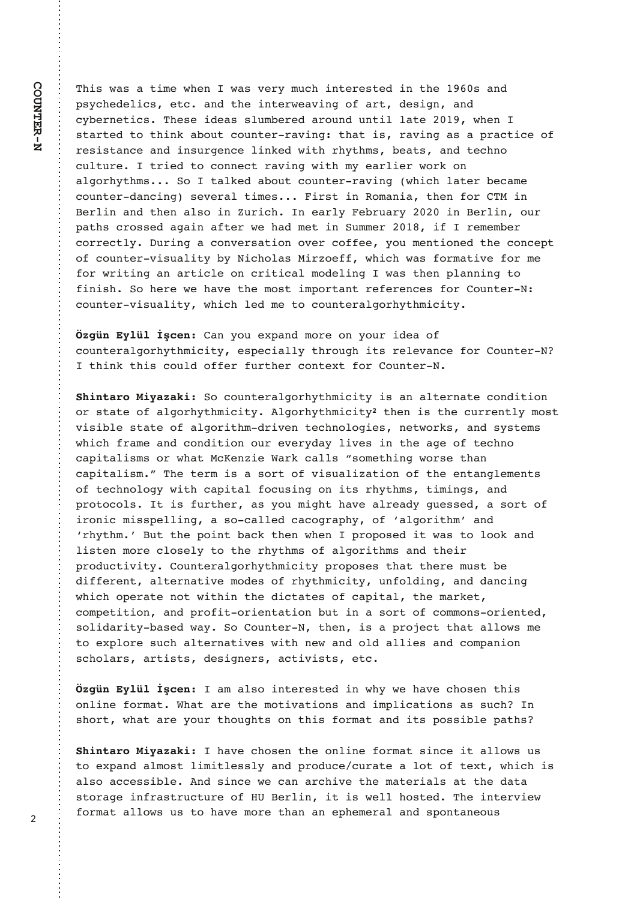This was a time when I was very much interested in the 1960s and psychedelics, etc. and the interweaving of art, design, and cybernetics. These ideas slumbered around until late 2019, when I started to think about counter-raving: that is, raving as a practice of resistance and insurgence linked with rhythms, beats, and techno culture. I tried to connect raving with my earlier work on algorhythms... So I talked about counter-raving (which later became counter-dancing) several times... First in Romania, then for CTM in Berlin and then also in Zurich. In early February 2020 in Berlin, our paths crossed again after we had met in Summer 2018, if I remember correctly. During a conversation over coffee, you mentioned the concept of counter-visuality by Nicholas Mirzoeff, which was formative for me for writing an article on critical modeling I was then planning to finish. So here we have the most important references for Counter-N: counter-visuality, which led me to counteralgorhythmicity.

**Özgün Eylül İşcen:** Can you expand more on your idea of counteralgorhythmicity, especially through its relevance for Counter-N? I think this could offer further context for Counter-N.

**Shintaro Miyazaki:** So counteralgorhythmicity is an alternate condition or state of algorhythmicity. Algorhythmicity**<sup>2</sup>** then is the currently most visible state of algorithm-driven technologies, networks, and systems which frame and condition our everyday lives in the age of techno capitalisms or what McKenzie Wark calls "something worse than capitalism." The term is a sort of visualization of the entanglements of technology with capital focusing on its rhythms, timings, and protocols. It is further, as you might have already guessed, a sort of ironic misspelling, a so-called cacography, of 'algorithm' and 'rhythm.' But the point back then when I proposed it was to look and listen more closely to the rhythms of algorithms and their productivity. Counteralgorhythmicity proposes that there must be different, alternative modes of rhythmicity, unfolding, and dancing which operate not within the dictates of capital, the market, competition, and profit-orientation but in a sort of commons-oriented, solidarity-based way. So Counter-N, then, is a project that allows me to explore such alternatives with new and old allies and companion scholars, artists, designers, activists, etc.

**Özgün Eylül İşcen:** I am also interested in why we have chosen this online format. What are the motivations and implications as such? In short, what are your thoughts on this format and its possible paths?

**Shintaro Miyazaki:** I have chosen the online format since it allows us to expand almost limitlessly and produce/curate a lot of text, which is also accessible. And since we can archive the materials at the data storage infrastructure of HU Berlin, it is well hosted. The interview format allows us to have more than an ephemeral and spontaneous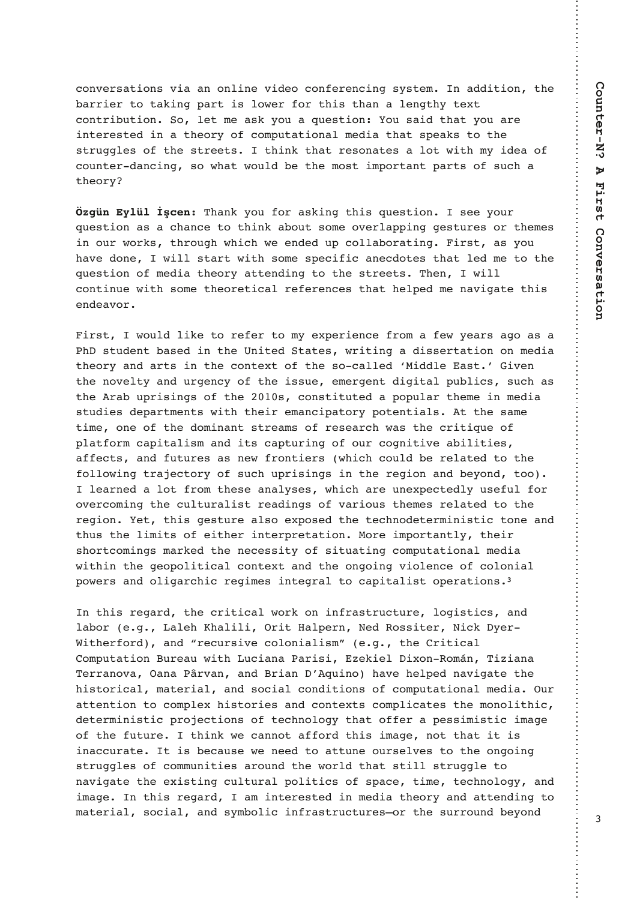conversations via an online video conferencing system. In addition, the barrier to taking part is lower for this than a lengthy text contribution. So, let me ask you a question: You said that you are interested in a theory of computational media that speaks to the struggles of the streets. I think that resonates a lot with my idea of counter-dancing, so what would be the most important parts of such a theory?

**Özgün Eylül İşcen:** Thank you for asking this question. I see your question as a chance to think about some overlapping gestures or themes in our works, through which we ended up collaborating. First, as you have done, I will start with some specific anecdotes that led me to the question of media theory attending to the streets. Then, I will continue with some theoretical references that helped me navigate this endeavor.

First, I would like to refer to my experience from a few years ago as a PhD student based in the United States, writing a dissertation on media theory and arts in the context of the so-called 'Middle East.' Given the novelty and urgency of the issue, emergent digital publics, such as the Arab uprisings of the 2010s, constituted a popular theme in media studies departments with their emancipatory potentials. At the same time, one of the dominant streams of research was the critique of platform capitalism and its capturing of our cognitive abilities, affects, and futures as new frontiers (which could be related to the following trajectory of such uprisings in the region and beyond, too). I learned a lot from these analyses, which are unexpectedly useful for overcoming the culturalist readings of various themes related to the region. Yet, this gesture also exposed the technodeterministic tone and thus the limits of either interpretation. More importantly, their shortcomings marked the necessity of situating computational media within the geopolitical context and the ongoing violence of colonial powers and oligarchic regimes integral to capitalist operations.**<sup>3</sup>**

In this regard, the critical work on infrastructure, logistics, and labor (e.g., Laleh Khalili, Orit Halpern, Ned Rossiter, Nick Dyer-Witherford), and "recursive colonialism" (e.g., the Critical Computation Bureau with Luciana Parisi, Ezekiel Dixon-Román, Tiziana Terranova, Oana Pârvan, and Brian D'Aquino) have helped navigate the historical, material, and social conditions of computational media. Our attention to complex histories and contexts complicates the monolithic, deterministic projections of technology that offer a pessimistic image of the future. I think we cannot afford this image, not that it is inaccurate. It is because we need to attune ourselves to the ongoing struggles of communities around the world that still struggle to navigate the existing cultural politics of space, time, technology, and image. In this regard, I am interested in media theory and attending to material, social, and symbolic infrastructures—or the surround beyond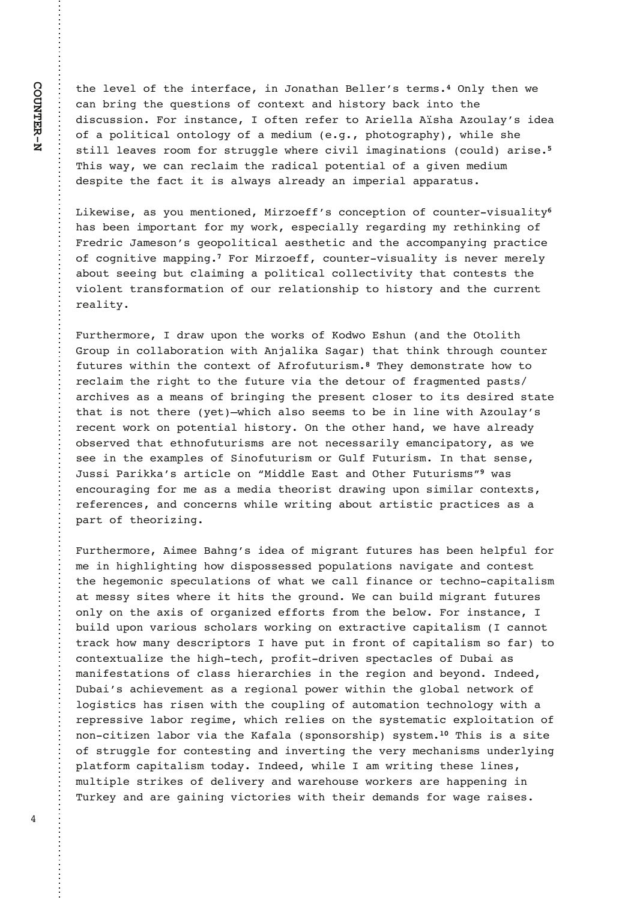the level of the interface, in Jonathan Beller's terms.**<sup>4</sup>** Only then we can bring the questions of context and history back into the discussion. For instance, I often refer to Ariella Aïsha Azoulay's idea of a political ontology of a medium (e.g., photography), while she still leaves room for struggle where civil imaginations (could) arise.**<sup>5</sup>** This way, we can reclaim the radical potential of a given medium despite the fact it is always already an imperial apparatus.

Likewise, as you mentioned, Mirzoeff's conception of counter-visuality**<sup>6</sup>** has been important for my work, especially regarding my rethinking of Fredric Jameson's geopolitical aesthetic and the accompanying practice of cognitive mapping.**<sup>7</sup>** For Mirzoeff, counter-visuality is never merely about seeing but claiming a political collectivity that contests the violent transformation of our relationship to history and the current reality.

Furthermore, I draw upon the works of Kodwo Eshun (and the Otolith Group in collaboration with Anjalika Sagar) that think through counter futures within the context of Afrofuturism.**<sup>8</sup>** They demonstrate how to reclaim the right to the future via the detour of fragmented pasts/ archives as a means of bringing the present closer to its desired state that is not there (yet)—which also seems to be in line with Azoulay's recent work on potential history. On the other hand, we have already observed that ethnofuturisms are not necessarily emancipatory, as we see in the examples of Sinofuturism or Gulf Futurism. In that sense, Jussi Parikka's article on "Middle East and Other Futurisms"**<sup>9</sup>** was encouraging for me as a media theorist drawing upon similar contexts, references, and concerns while writing about artistic practices as a part of theorizing.

Furthermore, Aimee Bahng's idea of migrant futures has been helpful for me in highlighting how dispossessed populations navigate and contest the hegemonic speculations of what we call finance or techno-capitalism at messy sites where it hits the ground. We can build migrant futures only on the axis of organized efforts from the below. For instance, I build upon various scholars working on extractive capitalism (I cannot track how many descriptors I have put in front of capitalism so far) to contextualize the high-tech, profit-driven spectacles of Dubai as manifestations of class hierarchies in the region and beyond. Indeed, Dubai's achievement as a regional power within the global network of logistics has risen with the coupling of automation technology with a repressive labor regime, which relies on the systematic exploitation of non-citizen labor via the Kafala (sponsorship) system.**<sup>10</sup>** This is a site of struggle for contesting and inverting the very mechanisms underlying platform capitalism today. Indeed, while I am writing these lines, multiple strikes of delivery and warehouse workers are happening in Turkey and are gaining victories with their demands for wage raises.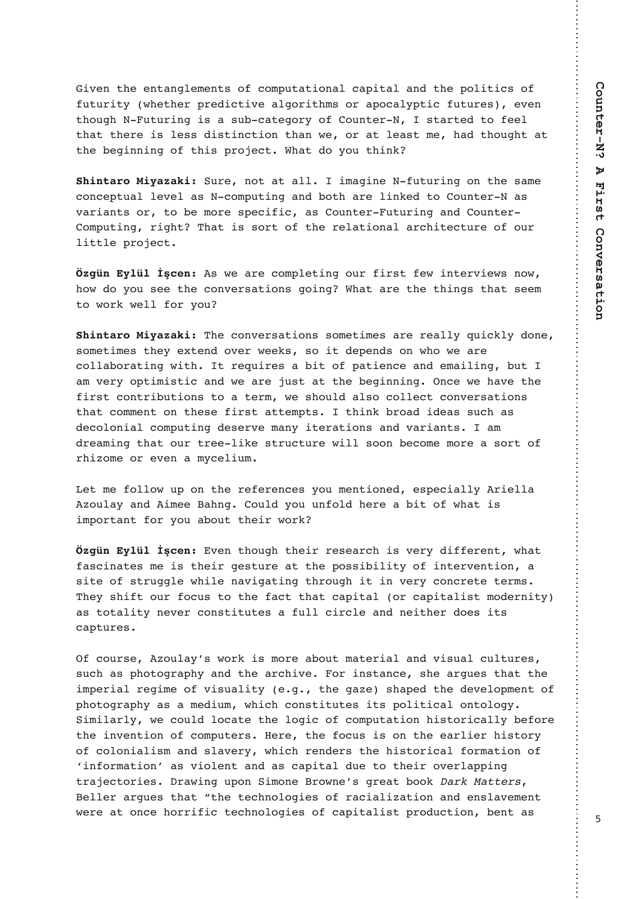Given the entanglements of computational capital and the politics of futurity (whether predictive algorithms or apocalyptic futures), even though N-Futuring is a sub-category of Counter-N, I started to feel that there is less distinction than we, or at least me, had thought at the beginning of this project. What do you think?

**Shintaro Miyazaki:** Sure, not at all. I imagine N-futuring on the same conceptual level as N-computing and both are linked to Counter-N as variants or, to be more specific, as Counter-Futuring and Counter-Computing, right? That is sort of the relational architecture of our little project.

**Özgün Eylül İşcen:** As we are completing our first few interviews now, how do you see the conversations going? What are the things that seem to work well for you?

**Shintaro Miyazaki:** The conversations sometimes are really quickly done, sometimes they extend over weeks, so it depends on who we are collaborating with. It requires a bit of patience and emailing, but I am very optimistic and we are just at the beginning. Once we have the first contributions to a term, we should also collect conversations that comment on these first attempts. I think broad ideas such as decolonial computing deserve many iterations and variants. I am dreaming that our tree-like structure will soon become more a sort of rhizome or even a mycelium.

Let me follow up on the references you mentioned, especially Ariella Azoulay and Aimee Bahng. Could you unfold here a bit of what is important for you about their work?

**Özgün Eylül İşcen:** Even though their research is very different, what fascinates me is their gesture at the possibility of intervention, a site of struggle while navigating through it in very concrete terms. They shift our focus to the fact that capital (or capitalist modernity) as totality never constitutes a full circle and neither does its captures.

Of course, Azoulay's work is more about material and visual cultures, such as photography and the archive. For instance, she argues that the imperial regime of visuality (e.g., the gaze) shaped the development of photography as a medium, which constitutes its political ontology. Similarly, we could locate the logic of computation historically before the invention of computers. Here, the focus is on the earlier history of colonialism and slavery, which renders the historical formation of 'information' as violent and as capital due to their overlapping trajectories. Drawing upon Simone Browne's great book Dark Matters, Beller argues that "the technologies of racialization and enslavement were at once horrific technologies of capitalist production, bent as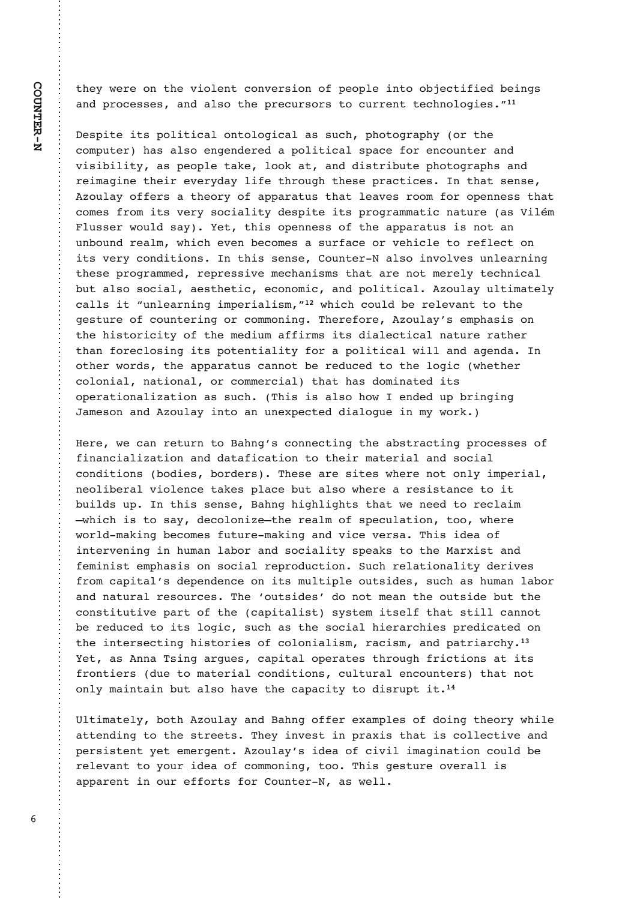they were on the violent conversion of people into objectified beings and processes, and also the precursors to current technologies."**<sup>11</sup>**

Despite its political ontological as such, photography (or the computer) has also engendered a political space for encounter and visibility, as people take, look at, and distribute photographs and reimagine their everyday life through these practices. In that sense, Azoulay offers a theory of apparatus that leaves room for openness that comes from its very sociality despite its programmatic nature (as Vilém Flusser would say). Yet, this openness of the apparatus is not an unbound realm, which even becomes a surface or vehicle to reflect on its very conditions. In this sense, Counter-N also involves unlearning these programmed, repressive mechanisms that are not merely technical but also social, aesthetic, economic, and political. Azoulay ultimately calls it "unlearning imperialism,"**<sup>12</sup>** which could be relevant to the gesture of countering or commoning. Therefore, Azoulay's emphasis on the historicity of the medium affirms its dialectical nature rather than foreclosing its potentiality for a political will and agenda. In other words, the apparatus cannot be reduced to the logic (whether colonial, national, or commercial) that has dominated its operationalization as such. (This is also how I ended up bringing Jameson and Azoulay into an unexpected dialogue in my work.)

Here, we can return to Bahng's connecting the abstracting processes of financialization and datafication to their material and social conditions (bodies, borders). These are sites where not only imperial, neoliberal violence takes place but also where a resistance to it builds up. In this sense, Bahng highlights that we need to reclaim —which is to say, decolonize—the realm of speculation, too, where world-making becomes future-making and vice versa. This idea of intervening in human labor and sociality speaks to the Marxist and feminist emphasis on social reproduction. Such relationality derives from capital's dependence on its multiple outsides, such as human labor and natural resources. The 'outsides' do not mean the outside but the constitutive part of the (capitalist) system itself that still cannot be reduced to its logic, such as the social hierarchies predicated on the intersecting histories of colonialism, racism, and patriarchy.**<sup>13</sup>** Yet, as Anna Tsing argues, capital operates through frictions at its frontiers (due to material conditions, cultural encounters) that not only maintain but also have the capacity to disrupt it.**<sup>14</sup>**

Ultimately, both Azoulay and Bahng offer examples of doing theory while attending to the streets. They invest in praxis that is collective and persistent yet emergent. Azoulay's idea of civil imagination could be relevant to your idea of commoning, too. This gesture overall is apparent in our efforts for Counter-N, as well.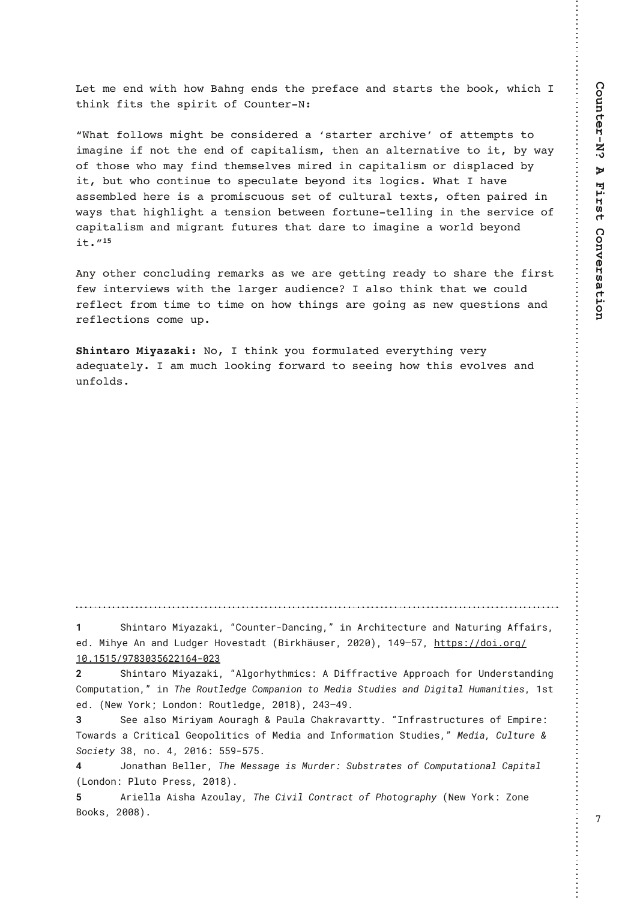1@911:0C5@44;C-4:31:0?@41<>12-/1-:0?@->@?@41.;;7C45/4 @45:725@?@41?<5>5@;2;A:@1>"

M\*4-@2;88;C?9534@.1/;:?501>10-O?@->@1>->/45B1P;2-@@19<@?@; 59-35:152:;@@411:0;2/-<5@-85?9@41:-:-8@1>:-@5B1@;5@.EC-E ;2@4;?1C4;9-E25:0@419?18B1?95>105:/-<5@-85?9;>05?<8-/10.E 5@.A@C4;/;:@5:A1@;?<1/A8-@1.1E;:05@?8;35/?\*4-@4-B1  $-$ ??19.810 41>1 5? - <>;95?/A;A? ?1@;2 /A8@A>-8 @ID@?;2@1: <-5>10 5: C-E?@4-@45348534@-@1:?5;:.1@C11:2;>@A:1@1885:35:@41?1>B5/1;2 /-<5@-85?9-:0953>-:@2A@A>1?@4-@0->1@;59-35:1-C;>80.1E;:0 5@N

:E;@41>/;:/8A05:3>19->7?-?C1->131@@5:3>1-0E@;?4->1@4125>?@ 21C5:@1>B51C?C5@4@418->31>-A051:/1-8?;@45:7@4-@C1/;A80 >1281/@2>;9@591@;@591;:4;C@45:3?->13;5:3-?:1C=A1?@5;:?-:0  $>1281/$   $\circledcirc$ ; : ? / ; 91 A<

";@45:7E;A2;>9A8-@101B1>E@45:3B1>E -01=A-@18E-99A/48;;75:32;>C->0@;?115:34;C@45?1B;8B1?-:0 A:2;80?

W ! 4CDI O<MJ! . DT<U<FD> ! • \$JPI O@M#%<I >DI B• • ! DI ! " M>CDO@>OPM@ <I ?! / <OPMDI B! " AA<DMN>! @€!.DCT@" I!<I?! - P?B@M ) JQ@NO<?O!" #DMFC@PN@M!XVXV••! WZ\_^[] •! <u>COOKN•[©©?JD€JMB©](https://doi.org/10.1515/9783035622164-023 )</u>

WEW W © 1 ^ YVY[ \ XXW\ Z±VXY!

X ! 4CDI O<MJ! . DT<U<FD• ! • " GBJMCTOCHD>N• ! " ! %DAAM<>ODQ@! " KKMJ<>C! AJM! 6I ?@MNO<I ?DI B! \$JHKPO<ODJI • • ! DI ! 5C@! 3JPOG@?B@! \$JHK<I DJI ! OJ! . @?D<! 4OP?D@N! <I ?! %DBDO<G! ) PH<I DOD@N• ! WNO! @?€! " / @R! : JMF, ! - JI ?JI • ! 3JPOG@'B@ ! XVW•• ! XZY^ Z\_€!

Y ! 4@@:<GNJ!. DMDT<H!" JPM<BC!! 1<PG<! \$C<FM<Q<MOOT€! • \* I AM<NOMP>OPM@N! JA! &HKDM@ 5JR<M?N! <! \$MDOD><G! ( @JKJGDOD>N! JA! . @?D<! <I ?! \* I AJMH<ODJI ! 4OP?D@N• • ! . @?D<• ! \$PGOPM@! ¸ ! 4J>D@OT! Y^ • ! I J€! Z• ! XVW\ • ! [ [ \_‡[ ] [ €!

!Z ! +JI <OC<I ! #@GG@M• ! 5C@! . @NN<B@! DN! . PM?@M• ! 4P=NOM<O@N! JA! \$JHKPO<ODJI <G! \$<KDO<G! " - JI ?JI • ! 1GPOJ! 1M@NN• ! XVW^ • €! !

! " MD@GG<! " DNC<! " W PG<T• ! 5C@ \$DQDG! \$JI OM<>O! JA! 1CJOJBM<KCT! " / @R! : JMF• ! ; JI @ #JJFN• ! XVV^ • €! !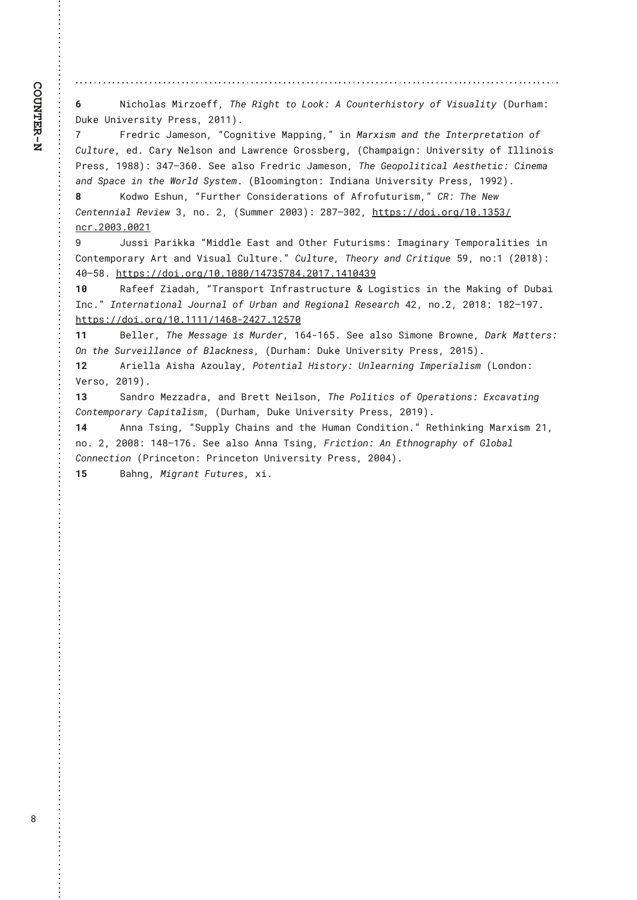! / DOCJG<N', DMU@AA . ! 5C@ 3DBOC! Q!! - JJF . ! "! \$JPIO@ACDNQJMT! JA! 7DNP<GDOT! " %PMC<H .!  $\sqrt{11}$ %PF@ 61 DQ@MDOT! 1M@NN ·! XVWW €!!

! 'M@'MD>! +<H@NI • ! • \$JBIDODQ@. <KKDI B• • ! DI ! . <MSDNH! <I ?! OC@ \*IO@MKM@O<ODJI ! JA!  $\mathbf{L}$ \$PGOPM@!@?€!\$<MT!/@GNJI!<I?!-<RM@>@(MJNN=@MB.I"\$C<HK<DBI.I6|DQ@MDOT!JA!\*GGDIJDN! 1M@N\P!W^^+P!YZ|^Y\VE!4@@<G\J!'M@?MD>!+<H@NJIP!5C@(@JKJGDOD><G"@ACC@DD>P!\$DI@H<! <1?! 4K<>@DI! OC@8JMG?! 4TNO@HE!"#GJJHDIBOJI •!\*I?D<I <! 6IDQ@MDOT! 1M@NN•! W\_X•€!

!, J?RJ! & NCPI •! • 'PMOC@M \$JIND?@W<ODJIN! JA! "AMJAPOPMDNH • •! \$3 •! 5C@ / @R!  $\Lambda$ \$@}O@ID<G3@D@RIY•!IJEIX•!"4PHH@MXVVY••!X^|^YVX•!OOOKN•@@?JDEJMB©WWEWYIY@ **I >M€XVVY€VVXW** 

! + PNND! 1<MDFF<! • . D?? G@ &<NO! <! ?! 0 OC@M 'POPMDNHN•! \* H<BDI <MT! 5 @HKJM<GDOD@N! DI!  $\mathbf{L}$ \$JIO@HKJM<MT!"MO!<I?!7DNP<G!\$PGOPM@E\*Ó\$PGOPM@!5C@IMT!<I?!\$MDODLP@[\_\*!IJ\*W"XVW\*\*Ó! ZV^ [^€! COOKN•©©? JDEJMB©WVEWV^V©WZ]Y[ ]^ZEXVW] EWZWVZY

! 3<A@@A!; D<?<C ! . 5M<I NKJMO! \* I AM<NOMP>OPM@ . ! - JBDNOD>N! DI ! OC@ . <FDI B! JA! %P=<D!  $W$ \*I> €. ! \*IO @M<ODJI<GI+JPM<GIJA! 6M=<I!<I?! 3 @BDJI<GI3 @N@<M>>@<DIJEX... !XVW...! WX`W\_]€! COOKN CC? JDEJ NBCWWWWWCWZ\^+XZX] EWX[ ] V!!!!

!#@GG@M ! 5C@ . @NKB@DN! . PM?@M ! WYZ‡WYE ! 4@@ <GNJ! 4DHJI @ #MJRI @ !%<MF! . <OO@MN+ ! **VWV** 01 ! 0 2 4 PMQ @ D G J A! # G < > FI @ N > ! " % PM C < H · ! % PF @ 61 DQ @ ANDOT! 1 M @ N N ! X V W . + €!

WK ! " MD@GG<! " DNC<! " W PG<T\* ! 1JO@ OD<G! ) DNQJMT\* ! 61 G@<M DIB! \*HK@MD<GDNH! " - JI?JI \* ! 7@MJ•! XVW • €!!

! 4< | ? M ! . @ U L < ? Ne ! < | ? ! # M@ O (@ DGN I . ! 5 C @ 1 J GDOD > NI J A I O K @ A COLI IN ! & S > < O < O DI B ! **WY** \$JIO@HKJMKMT!\$<KDO<GDNH>!"%PMC<H+!%PF@6IDQ@MDOT!1M@NN+!XVW\_•€!

! " I I <! 5NDI B •! • 4PKKGT! \$C<DI N! <I ?! OC@ ) PH<I ! \$J I ?DODJ I ⊕ ! 3@ CDI FDI B! . <MSDNH! XW ! WZ I J€! X+ ! XVV^• ! WZ^^ W \ €! 4@@ <GNJ! " I I <! 5NDI B• ! ' MD>CDJI • ! " I ! &CCI JBMkKCT! JA! ( GJ=<GI  $$JII @CDJI!"1MD>@QJI~!1MD>@QJI!61 DQ@NDDTI1M@N\'! XXVZ•E!!$ 

! #<CIB•!. DBM<I Q ' POPM@N•! SDE!! W